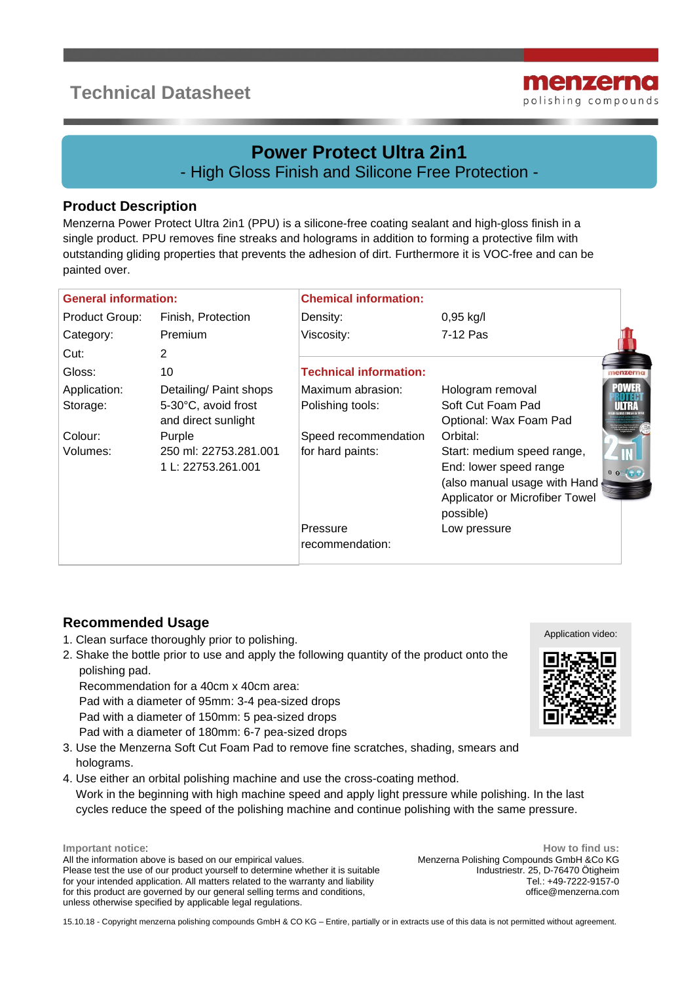# **Technical Datasheet**



## **Power Protect Ultra 2in1** - High Gloss Finish and Silicone Free Protection -

-

#### **Product Description**

Menzerna Power Protect Ultra 2in1 (PPU) is a silicone-free coating sealant and high-gloss finish in a single product. PPU removes fine streaks and holograms in addition to forming a protective film with outstanding gliding properties that prevents the adhesion of dirt. Furthermore it is VOC-free and can be painted over.

| <b>General information:</b> |                        | <b>Chemical information:</b>  |                                             |                 |
|-----------------------------|------------------------|-------------------------------|---------------------------------------------|-----------------|
| Product Group:              | Finish, Protection     | Density:                      | $0,95$ kg/l                                 |                 |
| Category:                   | Premium                | Viscosity:                    | 7-12 Pas                                    |                 |
| Cut:                        | 2                      |                               |                                             |                 |
| Gloss:                      | 10                     | <b>Technical information:</b> |                                             | <b>ienzerna</b> |
| Application:                | Detailing/ Paint shops | Maximum abrasion:             | Hologram removal                            | POWER           |
| Storage:                    | 5-30°C, avoid frost    | Polishing tools:              | Soft Cut Foam Pad                           | шна             |
|                             | and direct sunlight    |                               | Optional: Wax Foam Pad                      |                 |
| Colour:                     | Purple                 | Speed recommendation          | Orbital:                                    |                 |
| Volumes:                    | 250 ml: 22753.281.001  | for hard paints:              | Start: medium speed range,                  |                 |
|                             | 1 L: 22753.261.001     |                               | End: lower speed range                      | 0000            |
|                             |                        |                               | (also manual usage with Hand                |                 |
|                             |                        |                               | Applicator or Microfiber Towel<br>possible) |                 |
|                             |                        | Pressure                      | Low pressure                                |                 |
|                             |                        | recommendation:               |                                             |                 |
|                             |                        |                               |                                             |                 |

### **Recommended Usage**

- 1. Clean surface thoroughly prior to polishing.
- 2. Shake the bottle prior to use and apply the following quantity of the product onto the polishing pad.

 Recommendation for a 40cm x 40cm area: Pad with a diameter of 95mm: 3-4 pea-sized drops Pad with a diameter of 150mm: 5 pea-sized drops

- Pad with a diameter of 180mm: 6-7 pea-sized drops
- 3. Use the Menzerna Soft Cut Foam Pad to remove fine scratches, shading, smears and holograms.
- 4. Use either an orbital polishing machine and use the cross-coating method. Work in the beginning with high machine speed and apply light pressure while polishing. In the last cycles reduce the speed of the polishing machine and continue polishing with the same pressure.

**Important notice**: All the information above is based on our empirical values. Please test the use of our product yourself to determine whether it is suitable for your intended application. All matters related to the warranty and liability for this product are governed by our general selling terms and conditions, unless otherwise specified by applicable legal regulations.

**How to find us:** Menzerna Polishing Compounds GmbH &Co KG Industriestr. 25, D-76470 Ötigheim Tel.: +49-7222-9157-0 office@menzerna.com

Application video:



15.10.18 - Copyright menzerna polishing compounds GmbH & CO KG – Entire, partially or in extracts use of this data is not permitted without agreement.